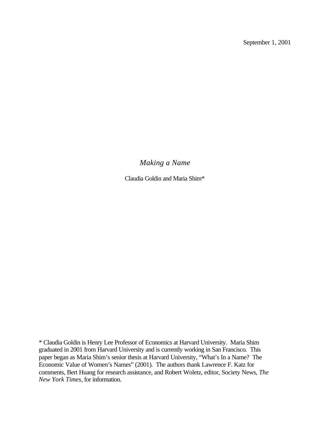September 1, 2001

*Making a Name*

Claudia Goldin and Maria Shim\*

\* Claudia Goldin is Henry Lee Professor of Economics at Harvard University. Maria Shim graduated in 2001 from Harvard University and is currently working in San Francisco. This paper began as Maria Shim's senior thesis at Harvard University, "What's In a Name? The Economic Value of Women's Names" (2001). The authors thank Lawrence F. Katz for comments, Bert Huang for research assistance, and Robert Woletz, editor, Society News, *The New York Times*, for information.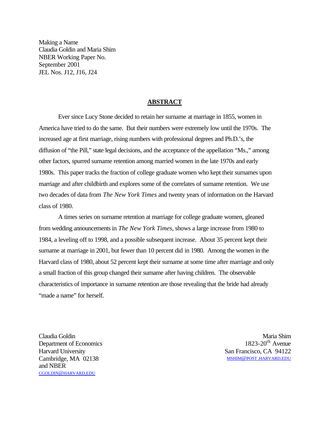Making a Name Claudia Goldin and Maria Shim NBER Working Paper No. September 2001 JEL Nos. J12, J16, J24

### **ABSTRACT**

Ever since Lucy Stone decided to retain her surname at marriage in 1855, women in America have tried to do the same. But their numbers were extremely low until the 1970s. The increased age at first marriage, rising numbers with professional degrees and Ph.D.'s, the diffusion of "the Pill," state legal decisions, and the acceptance of the appellation "Ms.," among other factors, spurred surname retention among married women in the late 1970s and early 1980s. This paper tracks the fraction of college graduate women who kept their surnames upon marriage and after childbirth and explores some of the correlates of surname retention. We use two decades of data from *The New York Times* and twenty years of information on the Harvard class of 1980.

A times series on surname retention at marriage for college graduate women, gleaned from wedding announcements in *The New York Times*, shows a large increase from 1980 to 1984, a leveling off to 1998, and a possible subsequent increase. About 35 percent kept their surname at marriage in 2001, but fewer than 10 percent did in 1980. Among the women in the Harvard class of 1980, about 52 percent kept their surname at some time after marriage and only a small fraction of this group changed their surname after having children. The observable characteristics of importance in surname retention are those revealing that the bride had already "made a name" for herself.

Department of Economics and NBER CGOLDIN@HARVARD.EDU

Claudia Goldin Maria Shim Maria Shim Maria Shim 1823-20<sup>th</sup> Avenue Harvard University San Francisco, CA 94122 Cambridge, MA 02138 MSHIM@POST .HARVARD.EDU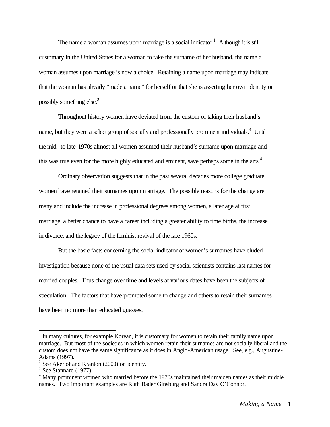The name a woman assumes upon marriage is a social indicator.<sup>1</sup> Although it is still customary in the United States for a woman to take the surname of her husband, the name a woman assumes upon marriage is now a choice. Retaining a name upon marriage may indicate that the woman has already "made a name" for herself or that she is asserting her own identity or possibly something else.<sup>2</sup>

Throughout history women have deviated from the custom of taking their husband's name, but they were a select group of socially and professionally prominent individuals.<sup>3</sup> Until the mid- to late-1970s almost all women assumed their husband's surname upon marriage and this was true even for the more highly educated and eminent, save perhaps some in the arts.<sup>4</sup>

Ordinary observation suggests that in the past several decades more college graduate women have retained their surnames upon marriage. The possible reasons for the change are many and include the increase in professional degrees among women, a later age at first marriage, a better chance to have a career including a greater ability to time births, the increase in divorce, and the legacy of the feminist revival of the late 1960s.

But the basic facts concerning the social indicator of women's surnames have eluded investigation because none of the usual data sets used by social scientists contains last names for married couples. Thus change over time and levels at various dates have been the subjects of speculation. The factors that have prompted some to change and others to retain their surnames have been no more than educated guesses.

 $\overline{\phantom{a}}$ 

<sup>&</sup>lt;sup>1</sup> In many cultures, for example Korean, it is customary for women to retain their family name upon marriage. But most of the societies in which women retain their surnames are not socially liberal and the custom does not have the same significance as it does in Anglo-American usage. See, e.g., Augustine-Adams (1997).

<sup>2</sup> See Akerlof and Kranton (2000) on identity.

 $3$  See Stannard (1977).

<sup>&</sup>lt;sup>4</sup> Many prominent women who married before the 1970s maintained their maiden names as their middle names. Two important examples are Ruth Bader Ginsburg and Sandra Day O'Connor.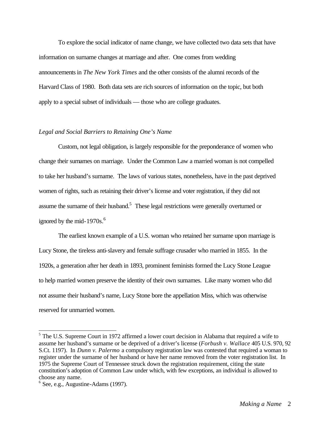To explore the social indicator of name change, we have collected two data sets that have information on surname changes at marriage and after. One comes from wedding announcements in *The New York Times* and the other consists of the alumni records of the Harvard Class of 1980. Both data sets are rich sources of information on the topic, but both apply to a special subset of individuals — those who are college graduates.

# *Legal and Social Barriers to Retaining One's Name*

Custom, not legal obligation, is largely responsible for the preponderance of women who change their surnames on marriage. Under the Common Law a married woman is not compelled to take her husband's surname. The laws of various states, nonetheless, have in the past deprived women of rights, such as retaining their driver's license and voter registration, if they did not assume the surname of their husband.<sup>5</sup> These legal restrictions were generally overturned or ignored by the mid-1970s. $<sup>6</sup>$ </sup>

The earliest known example of a U.S. woman who retained her surname upon marriage is Lucy Stone, the tireless anti-slavery and female suffrage crusader who married in 1855. In the 1920s, a generation after her death in 1893, prominent feminists formed the Lucy Stone League to help married women preserve the identity of their own surnames. Like many women who did not assume their husband's name, Lucy Stone bore the appellation Miss, which was otherwise reserved for unmarried women.

 $\overline{\phantom{a}}$ 

<sup>&</sup>lt;sup>5</sup> The U.S. Supreme Court in 1972 affirmed a lower court decision in Alabama that required a wife to assume her husband's surname or be deprived of a driver's license (*Forbush v. Wallace* 405 U.S. 970, 92 S.Ct. 1197). In *Dunn v. Palermo* a compulsory registration law was contested that required a woman to register under the surname of her husband or have her name removed from the voter registration list. In 1975 the Supreme Court of Tennessee struck down the registration requirement, citing the state constitution's adoption of Common Law under which, with few exceptions, an individual is allowed to choose any name.

 $6$  See, e.g., Augustine-Adams (1997).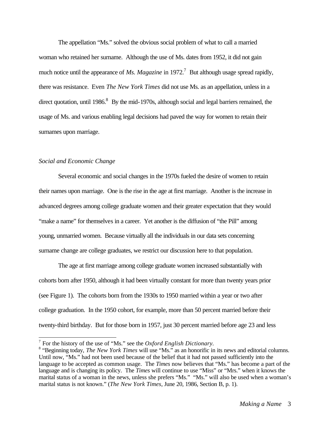The appellation "Ms." solved the obvious social problem of what to call a married woman who retained her surname. Although the use of Ms. dates from 1952, it did not gain much notice until the appearance of *Ms. Magazine* in 1972.<sup>7</sup> But although usage spread rapidly, there was resistance. Even *The New York Times* did not use Ms. as an appellation, unless in a direct quotation, until 1986.<sup>8</sup> By the mid-1970s, although social and legal barriers remained, the usage of Ms. and various enabling legal decisions had paved the way for women to retain their surnames upon marriage.

# *Social and Economic Change*

Several economic and social changes in the 1970s fueled the desire of women to retain their names upon marriage. One is the rise in the age at first marriage. Another is the increase in advanced degrees among college graduate women and their greater expectation that they would "make a name" for themselves in a career. Yet another is the diffusion of "the Pill" among young, unmarried women. Because virtually all the individuals in our data sets concerning surname change are college graduates, we restrict our discussion here to that population.

The age at first marriage among college graduate women increased substantially with cohorts born after 1950, although it had been virtually constant for more than twenty years prior (see Figure 1). The cohorts born from the 1930s to 1950 married within a year or two after college graduation. In the 1950 cohort, for example, more than 50 percent married before their twenty-third birthday. But for those born in 1957, just 30 percent married before age 23 and less

 7 For the history of the use of "Ms." see the *Oxford English Dictionary.*

<sup>&</sup>lt;sup>8</sup> "Beginning today, *The New York Times* will use "Ms." as an honorific in its news and editorial columns. Until now, "Ms." had not been used because of the belief that it had not passed sufficiently into the language to be accepted as common usage. The *Times* now believes that "Ms." has become a part of the language and is changing its policy. The *Times* will continue to use "Miss" or "Mrs." when it knows the marital status of a woman in the news, unless she prefers "Ms." "Ms." will also be used when a woman's marital status is not known." (*The New York Times*, June 20, 1986, Section B, p. 1).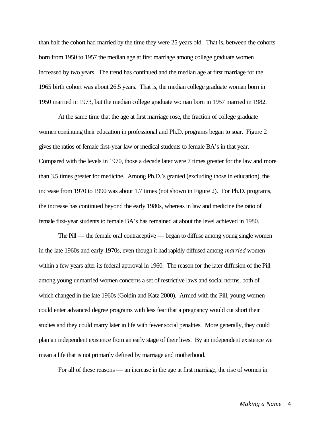than half the cohort had married by the time they were 25 years old. That is, between the cohorts born from 1950 to 1957 the median age at first marriage among college graduate women increased by two years. The trend has continued and the median age at first marriage for the 1965 birth cohort was about 26.5 years. That is, the median college graduate woman born in 1950 married in 1973, but the median college graduate woman born in 1957 married in 1982.

At the same time that the age at first marriage rose, the fraction of college graduate women continuing their education in professional and Ph.D. programs began to soar. Figure 2 gives the ratios of female first-year law or medical students to female BA's in that year. Compared with the levels in 1970, those a decade later were 7 times greater for the law and more than 3.5 times greater for medicine. Among Ph.D.'s granted (excluding those in education), the increase from 1970 to 1990 was about 1.7 times (not shown in Figure 2). For Ph.D. programs, the increase has continued beyond the early 1980s, whereas in law and medicine the ratio of female first-year students to female BA's has remained at about the level achieved in 1980.

The Pill — the female oral contraceptive — began to diffuse among young single women in the late 1960s and early 1970s, even though it had rapidly diffused among *married* women within a few years after its federal approval in 1960. The reason for the later diffusion of the Pill among young unmarried women concerns a set of restrictive laws and social norms, both of which changed in the late 1960s (Goldin and Katz 2000). Armed with the Pill, young women could enter advanced degree programs with less fear that a pregnancy would cut short their studies and they could marry later in life with fewer social penalties. More generally, they could plan an independent existence from an early stage of their lives. By an independent existence we mean a life that is not primarily defined by marriage and motherhood.

For all of these reasons — an increase in the age at first marriage, the rise of women in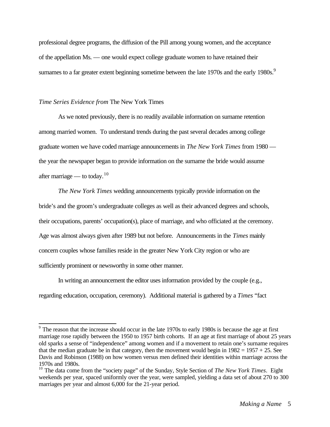professional degree programs, the diffusion of the Pill among young women, and the acceptance of the appellation Ms. — one would expect college graduate women to have retained their surnames to a far greater extent beginning sometime between the late 1970s and the early 1980s.<sup>9</sup>

### *Time Series Evidence from* The New York Times

As we noted previously, there is no readily available information on surname retention among married women. To understand trends during the past several decades among college graduate women we have coded marriage announcements in *The New York Times* from 1980 the year the newspaper began to provide information on the surname the bride would assume after marriage — to today.<sup>10</sup>

*The New York Times* wedding announcements typically provide information on the bride's and the groom's undergraduate colleges as well as their advanced degrees and schools, their occupations, parents' occupation(s), place of marriage, and who officiated at the ceremony. Age was almost always given after 1989 but not before. Announcements in the *Times* mainly concern couples whose families reside in the greater New York City region or who are sufficiently prominent or newsworthy in some other manner.

In writing an announcement the editor uses information provided by the couple (e.g., regarding education, occupation, ceremony). Additional material is gathered by a *Times* "fact

 $\overline{a}$  $9$  The reason that the increase should occur in the late 1970s to early 1980s is because the age at first marriage rose rapidly between the 1950 to 1957 birth cohorts. If an age at first marriage of about 25 years old sparks a sense of "independence" among women and if a movement to retain one's surname requires that the median graduate be in that category, then the movement would begin in  $1982 = 1957 + 25$ . See Davis and Robinson (1988) on how women versus men defined their identities within marriage across the 1970s and 1980s.

<sup>&</sup>lt;sup>10</sup> The data come from the "society page" of the Sunday, Style Section of *The New York Times*. Eight weekends per year, spaced uniformly over the year, were sampled, yielding a data set of about 270 to 300 marriages per year and almost 6,000 for the 21-year period.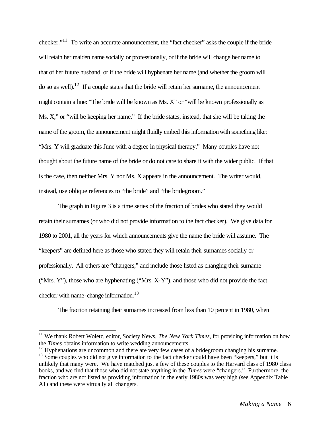checker."<sup>11</sup> To write an accurate announcement, the "fact checker" asks the couple if the bride will retain her maiden name socially or professionally, or if the bride will change her name to that of her future husband, or if the bride will hyphenate her name (and whether the groom will do so as well).<sup>12</sup> If a couple states that the bride will retain her surname, the announcement might contain a line: "The bride will be known as Ms. X" or "will be known professionally as Ms. X," or "will be keeping her name." If the bride states, instead, that she will be taking the name of the groom, the announcement might fluidly embed this information with something like: "Mrs. Y will graduate this June with a degree in physical therapy." Many couples have not thought about the future name of the bride or do not care to share it with the wider public. If that is the case, then neither Mrs. Y nor Ms. X appears in the announcement. The writer would, instead, use oblique references to "the bride" and "the bridegroom."

The graph in Figure 3 is a time series of the fraction of brides who stated they would retain their surnames (or who did not provide information to the fact checker). We give data for 1980 to 2001, all the years for which announcements give the name the bride will assume. The "keepers" are defined here as those who stated they will retain their surnames socially or professionally. All others are "changers," and include those listed as changing their surname ("Mrs. Y"), those who are hyphenating ("Mrs. X-Y"), and those who did not provide the fact checker with name-change information.<sup>13</sup>

The fraction retaining their surnames increased from less than 10 percent in 1980, when

 $\overline{\phantom{a}}$ 

<sup>&</sup>lt;sup>11</sup> We thank Robert Woletz, editor, Society News, *The New York Times*, for providing information on how the *Times* obtains information to write wedding announcements.

 $12$  Hyphenations are uncommon and there are very few cases of a bridegroom changing his surname.

 $13$  Some couples who did not give information to the fact checker could have been "keepers," but it is unlikely that many were. We have matched just a few of these couples to the Harvard class of 1980 class books, and we find that those who did not state anything in the *Times* were "changers." Furthermore, the fraction who are not listed as providing information in the early 1980s was very high (see Appendix Table A1) and these were virtually all changers.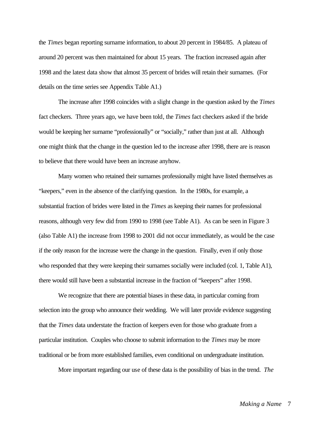the *Times* began reporting surname information, to about 20 percent in 1984/85. A plateau of around 20 percent was then maintained for about 15 years. The fraction increased again after 1998 and the latest data show that almost 35 percent of brides will retain their surnames. (For details on the time series see Appendix Table A1.)

The increase after 1998 coincides with a slight change in the question asked by the *Times* fact checkers. Three years ago, we have been told, the *Times* fact checkers asked if the bride would be keeping her surname "professionally" or "socially," rather than just at all. Although one might think that the change in the question led to the increase after 1998, there are is reason to believe that there would have been an increase anyhow.

Many women who retained their surnames professionally might have listed themselves as "keepers," even in the absence of the clarifying question. In the 1980s, for example, a substantial fraction of brides were listed in the *Times* as keeping their names for professional reasons, although very few did from 1990 to 1998 (see Table A1). As can be seen in Figure 3 (also Table A1) the increase from 1998 to 2001 did not occur immediately, as would be the case if the only reason for the increase were the change in the question. Finally, even if only those who responded that they were keeping their surnames socially were included (col. 1, Table A1), there would still have been a substantial increase in the fraction of "keepers" after 1998.

We recognize that there are potential biases in these data, in particular coming from selection into the group who announce their wedding. We will later provide evidence suggesting that the *Times* data understate the fraction of keepers even for those who graduate from a particular institution. Couples who choose to submit information to the *Times* may be more traditional or be from more established families, even conditional on undergraduate institution.

More important regarding our use of these data is the possibility of bias in the trend. *The*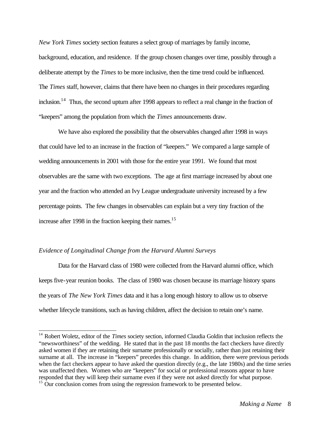*New York Times* society section features a select group of marriages by family income, background, education, and residence. If the group chosen changes over time, possibly through a deliberate attempt by the *Times* to be more inclusive, then the time trend could be influenced. The *Times* staff, however, claims that there have been no changes in their procedures regarding inclusion.<sup>14</sup> Thus, the second upturn after 1998 appears to reflect a real change in the fraction of "keepers" among the population from which the *Times* announcements draw.

We have also explored the possibility that the observables changed after 1998 in ways that could have led to an increase in the fraction of "keepers." We compared a large sample of wedding announcements in 2001 with those for the entire year 1991. We found that most observables are the same with two exceptions. The age at first marriage increased by about one year and the fraction who attended an Ivy League undergraduate university increased by a few percentage points. The few changes in observables can explain but a very tiny fraction of the increase after 1998 in the fraction keeping their names.<sup>15</sup>

# *Evidence of Longitudinal Change from the Harvard Alumni Surveys*

 $\overline{\phantom{a}}$ 

Data for the Harvard class of 1980 were collected from the Harvard alumni office, which keeps five-year reunion books. The class of 1980 was chosen because its marriage history spans the years of *The New York Times* data and it has a long enough history to allow us to observe whether lifecycle transitions, such as having children, affect the decision to retain one's name.

<sup>&</sup>lt;sup>14</sup> Robert Woletz, editor of the *Times* society section, informed Claudia Goldin that inclusion reflects the "newsworthiness" of the wedding. He stated that in the past 18 months the fact checkers have directly asked women if they are retaining their surname professionally or socially, rather than just retaining their surname at all. The increase in "keepers" precedes this change. In addition, there were previous periods when the fact checkers appear to have asked the question directly (e.g., the late 1980s) and the time series was unaffected then. Women who are "keepers" for social or professional reasons appear to have responded that they will keep their surname even if they were not asked directly for what purpose.

 $15$  Our conclusion comes from using the regression framework to be presented below.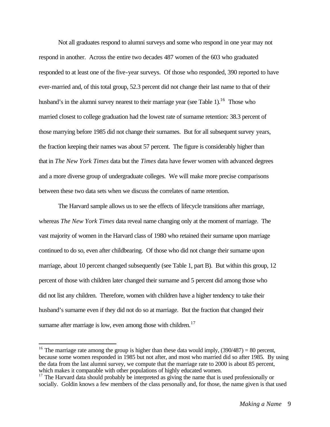Not all graduates respond to alumni surveys and some who respond in one year may not respond in another. Across the entire two decades 487 women of the 603 who graduated responded to at least one of the five-year surveys. Of those who responded, 390 reported to have ever-married and, of this total group, 52.3 percent did not change their last name to that of their husband's in the alumni survey nearest to their marriage year (see Table 1).<sup>16</sup> Those who married closest to college graduation had the lowest rate of surname retention: 38.3 percent of those marrying before 1985 did not change their surnames. But for all subsequent survey years, the fraction keeping their names was about 57 percent. The figure is considerably higher than that in *The New York Times* data but the *Times* data have fewer women with advanced degrees and a more diverse group of undergraduate colleges. We will make more precise comparisons between these two data sets when we discuss the correlates of name retention.

The Harvard sample allows us to see the effects of lifecycle transitions after marriage, whereas *The New York Times* data reveal name changing only at the moment of marriage. The vast majority of women in the Harvard class of 1980 who retained their surname upon marriage continued to do so, even after childbearing. Of those who did not change their surname upon marriage, about 10 percent changed subsequently (see Table 1, part B). But within this group, 12 percent of those with children later changed their surname and 5 percent did among those who did not list any children. Therefore, women with children have a higher tendency to take their husband's surname even if they did not do so at marriage. But the fraction that changed their surname after marriage is low, even among those with children. $17$ 

 $\overline{a}$ 

<sup>&</sup>lt;sup>16</sup> The marriage rate among the group is higher than these data would imply,  $(390/487) = 80$  percent, because some women responded in 1985 but not after, and most who married did so after 1985. By using the data from the last alumni survey, we compute that the marriage rate to 2000 is about 85 percent, which makes it comparable with other populations of highly educated women.

 $17$  The Harvard data should probably be interpreted as giving the name that is used professionally or socially. Goldin knows a few members of the class personally and, for those, the name given is that used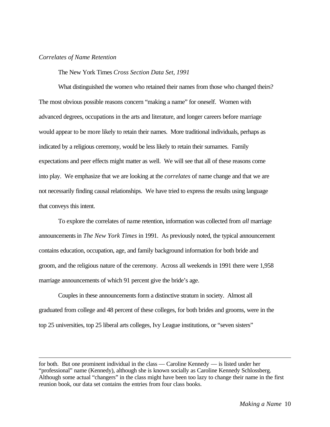#### *Correlates of Name Retention*

 $\overline{a}$ 

The New York Times *Cross Section Data Set, 1991*

What distinguished the women who retained their names from those who changed theirs? The most obvious possible reasons concern "making a name" for oneself. Women with advanced degrees, occupations in the arts and literature, and longer careers before marriage would appear to be more likely to retain their names. More traditional individuals, perhaps as indicated by a religious ceremony, would be less likely to retain their surnames. Family expectations and peer effects might matter as well. We will see that all of these reasons come into play. We emphasize that we are looking at the *correlates* of name change and that we are not necessarily finding causal relationships. We have tried to express the results using language that conveys this intent.

To explore the correlates of name retention, information was collected from *all* marriage announcements in *The New York Times* in 1991. As previously noted, the typical announcement contains education, occupation, age, and family background information for both bride and groom, and the religious nature of the ceremony. Across all weekends in 1991 there were 1,958 marriage announcements of which 91 percent give the bride's age.

Couples in these announcements form a distinctive stratum in society. Almost all graduated from college and 48 percent of these colleges, for both brides and grooms, were in the top 25 universities, top 25 liberal arts colleges, Ivy League institutions, or "seven sisters"

for both. But one prominent individual in the class — Caroline Kennedy — is listed under her "professional" name (Kennedy), although she is known socially as Caroline Kennedy Schlossberg. Although some actual "changers" in the class might have been too lazy to change their name in the first reunion book, our data set contains the entries from four class books.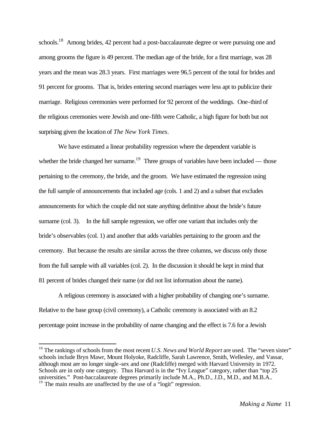schools.<sup>18</sup> Among brides, 42 percent had a post-baccalaureate degree or were pursuing one and among grooms the figure is 49 percent. The median age of the bride, for a first marriage, was 28 years and the mean was 28.3 years. First marriages were 96.5 percent of the total for brides and 91 percent for grooms. That is, brides entering second marriages were less apt to publicize their marriage. Religious ceremonies were performed for 92 percent of the weddings. One-third of the religious ceremonies were Jewish and one-fifth were Catholic, a high figure for both but not surprising given the location of *The New York Times*.

We have estimated a linear probability regression where the dependent variable is whether the bride changed her surname.<sup>19</sup> Three groups of variables have been included — those pertaining to the ceremony, the bride, and the groom. We have estimated the regression using the full sample of announcements that included age (cols. 1 and 2) and a subset that excludes announcements for which the couple did not state anything definitive about the bride's future surname (col. 3). In the full sample regression, we offer one variant that includes only the bride's observables (col. 1) and another that adds variables pertaining to the groom and the ceremony. But because the results are similar across the three columns, we discuss only those from the full sample with all variables (col. 2). In the discussion it should be kept in mind that 81 percent of brides changed their name (or did not list information about the name).

A religious ceremony is associated with a higher probability of changing one's surname. Relative to the base group (civil ceremony), a Catholic ceremony is associated with an 8.2 percentage point increase in the probability of name changing and the effect is 7.6 for a Jewish

 $\overline{a}$ 

<sup>&</sup>lt;sup>18</sup> The rankings of schools from the most recent *U.S. News and World Report* are used. The "seven sister" schools include Bryn Mawr, Mount Holyoke, Radcliffe, Sarah Lawrence, Smith, Wellesley, and Vassar, although most are no longer single-sex and one (Radcliffe) merged with Harvard University in 1972. Schools are in only one category. Thus Harvard is in the "Ivy League" category, rather than "top 25 universities." Post-baccalaureate degrees primarily include M.A., Ph.D., J.D., M.D., and M.B.A..

<sup>&</sup>lt;sup>19</sup> The main results are unaffected by the use of a "logit" regression.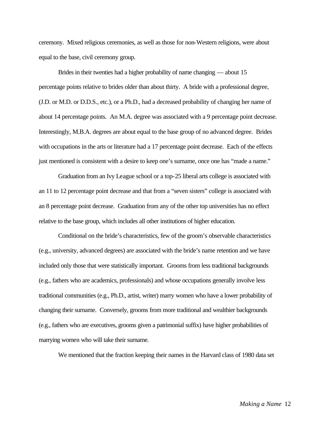ceremony. Mixed religious ceremonies, as well as those for non-Western religions, were about equal to the base, civil ceremony group.

Brides in their twenties had a higher probability of name changing — about 15 percentage points relative to brides older than about thirty. A bride with a professional degree, (J.D. or M.D. or D.D.S., etc.), or a Ph.D., had a decreased probability of changing her name of about 14 percentage points. An M.A. degree was associated with a 9 percentage point decrease. Interestingly, M.B.A. degrees are about equal to the base group of no advanced degree. Brides with occupations in the arts or literature had a 17 percentage point decrease. Each of the effects just mentioned is consistent with a desire to keep one's surname, once one has "made a name."

Graduation from an Ivy League school or a top-25 liberal arts college is associated with an 11 to 12 percentage point decrease and that from a "seven sisters" college is associated with an 8 percentage point decrease. Graduation from any of the other top universities has no effect relative to the base group, which includes all other institutions of higher education.

Conditional on the bride's characteristics, few of the groom's observable characteristics (e.g., university, advanced degrees) are associated with the bride's name retention and we have included only those that were statistically important. Grooms from less traditional backgrounds (e.g., fathers who are academics, professionals) and whose occupations generally involve less traditional communities (e.g., Ph.D., artist, writer) marry women who have a lower probability of changing their surname. Conversely, grooms from more traditional and wealthier backgrounds (e.g., fathers who are executives, grooms given a patrimonial suffix) have higher probabilities of marrying women who will take their surname.

We mentioned that the fraction keeping their names in the Harvard class of 1980 data set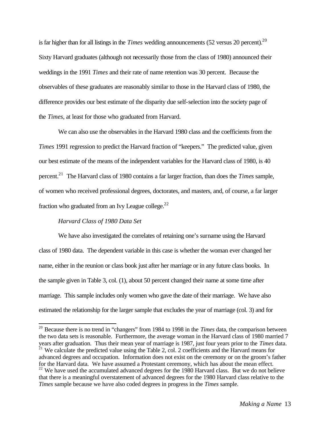is far higher than for all listings in the *Times* wedding announcements (52 versus 20 percent).<sup>20</sup> Sixty Harvard graduates (although not necessarily those from the class of 1980) announced their weddings in the 1991 *Times* and their rate of name retention was 30 percent. Because the observables of these graduates are reasonably similar to those in the Harvard class of 1980, the difference provides our best estimate of the disparity due self-selection into the society page of the *Times*, at least for those who graduated from Harvard.

We can also use the observables in the Harvard 1980 class and the coefficients from the *Times* 1991 regression to predict the Harvard fraction of "keepers." The predicted value, given our best estimate of the means of the independent variables for the Harvard class of 1980, is 40 percent.<sup>21</sup> The Harvard class of 1980 contains a far larger fraction, than does the *Times* sample, of women who received professional degrees, doctorates, and masters, and, of course, a far larger fraction who graduated from an Ivy League college.<sup>22</sup>

# *Harvard Class of 1980 Data Set*

 $\overline{1}$ 

We have also investigated the correlates of retaining one's surname using the Harvard class of 1980 data. The dependent variable in this case is whether the woman ever changed her name, either in the reunion or class book just after her marriage or in any future class books. In the sample given in Table 3, col. (1), about 50 percent changed their name at some time after marriage. This sample includes only women who gave the date of their marriage. We have also estimated the relationship for the larger sample that excludes the year of marriage (col. 3) and for

<sup>&</sup>lt;sup>20</sup> Because there is no trend in "changers" from 1984 to 1998 in the *Times* data, the comparison between the two data sets is reasonable. Furthermore, the average woman in the Harvard class of 1980 married 7 years after graduation. Thus their mean year of marriage is 1987, just four years prior to the *Times* data.  $2<sup>21</sup>$  We calculate the predicted value using the Table 2, col. 2 coefficients and the Harvard means for advanced degrees and occupation. Information does not exist on the ceremony or on the groom's father for the Harvard data. We have assumed a Protestant ceremony, which has about the mean effect.  $22$  We have used the accumulated advanced degrees for the 1980 Harvard class. But we do not believe that there is a meaningful overstatement of advanced degrees for the 1980 Harvard class relative to the *Times* sample because we have also coded degrees in progress in the *Times* sample.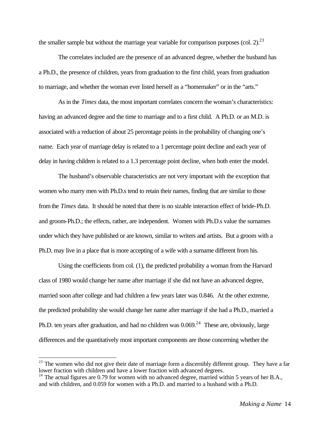the smaller sample but without the marriage year variable for comparison purposes (col. 2).<sup>23</sup>

The correlates included are the presence of an advanced degree, whether the husband has a Ph.D., the presence of children, years from graduation to the first child, years from graduation to marriage, and whether the woman ever listed herself as a "homemaker" or in the "arts."

As in the *Times* data, the most important correlates concern the woman's characteristics: having an advanced degree and the time to marriage and to a first child. A Ph.D. or an M.D. is associated with a reduction of about 25 percentage points in the probability of changing one's name. Each year of marriage delay is related to a 1 percentage point decline and each year of delay in having children is related to a 1.3 percentage point decline, when both enter the model.

The husband's observable characteristics are not very important with the exception that women who marry men with Ph.D.s tend to retain their names, finding that are similar to those from the *Times* data. It should be noted that there is no sizable interaction effect of bride-Ph.D. and groom-Ph.D.; the effects, rather, are independent. Women with Ph.D.s value the surnames under which they have published or are known, similar to writers and artists. But a groom with a Ph.D. may live in a place that is more accepting of a wife with a surname different from his.

Using the coefficients from col. (1), the predicted probability a woman from the Harvard class of 1980 would change her name after marriage if she did not have an advanced degree, married soon after college and had children a few years later was 0.846. At the other extreme, the predicted probability she would change her name after marriage if she had a Ph.D., married a Ph.D. ten years after graduation, and had no children was  $0.069<sup>24</sup>$ . These are, obviously, large differences and the quantitatively most important components are those concerning whether the

 $\overline{a}$ 

 $^{23}$  The women who did not give their date of marriage form a discernibly different group. They have a far lower fraction with children and have a lower fraction with advanced degrees.

<sup>&</sup>lt;sup>24</sup> The actual figures are 0.79 for women with no advanced degree, married within 5 years of her B.A., and with children, and 0.059 for women with a Ph.D. and married to a husband with a Ph.D.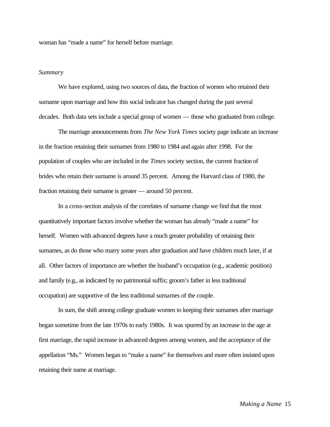woman has "made a name" for herself before marriage.

#### *Summary*

We have explored, using two sources of data, the fraction of women who retained their surname upon marriage and how this social indicator has changed during the past several decades. Both data sets include a special group of women — those who graduated from college.

The marriage announcements from *The New York Times* society page indicate an increase in the fraction retaining their surnames from 1980 to 1984 and again after 1998. For the population of couples who are included in the *Times* society section, the current fraction of brides who retain their surname is around 35 percent. Among the Harvard class of 1980, the fraction retaining their surname is greater — around 50 percent.

In a cross-section analysis of the correlates of surname change we find that the most quantitatively important factors involve whether the woman has already "made a name" for herself. Women with advanced degrees have a much greater probability of retaining their surnames, as do those who marry some years after graduation and have children much later, if at all. Other factors of importance are whether the husband's occupation (e.g., academic position) and family (e.g., as indicated by no patrimonial suffix; groom's father in less traditional occupation) are supportive of the less traditional surnames of the couple.

In sum, the shift among college graduate women to keeping their surnames after marriage began sometime from the late 1970s to early 1980s. It was spurred by an increase in the age at first marriage, the rapid increase in advanced degrees among women, and the acceptance of the appellation "Ms." Women began to "make a name" for themselves and more often insisted upon retaining their name at marriage.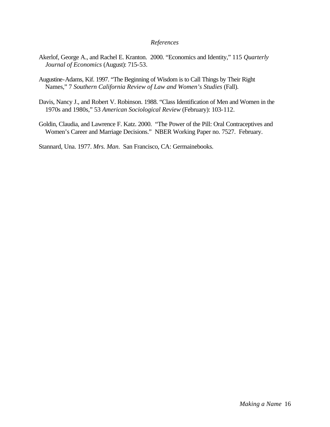#### *References*

- Akerlof, George A., and Rachel E. Kranton. 2000. "Economics and Identity," 115 *Quarterly Journal of Economics* (August): 715-53.
- Augustine-Adams, Kif. 1997. "The Beginning of Wisdom is to Call Things by Their Right Names," 7 *Southern California Review of Law and Women's Studies* (Fall).
- Davis, Nancy J., and Robert V. Robinson. 1988. "Class Identification of Men and Women in the 1970s and 1980s," 53 *American Sociological Review* (February): 103-112.
- Goldin, Claudia, and Lawrence F. Katz. 2000. "The Power of the Pill: Oral Contraceptives and Women's Career and Marriage Decisions." NBER Working Paper no. 7527. February.

Stannard, Una. 1977. *Mrs. Man*. San Francisco, CA: Germainebooks.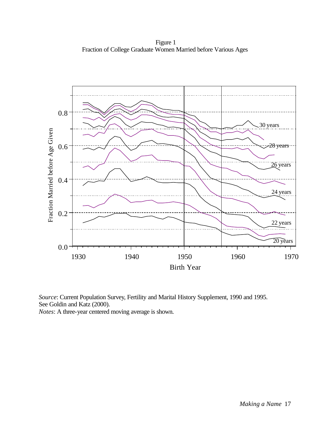Figure 1 Fraction of College Graduate Women Married before Various Ages



*Source*: Current Population Survey, Fertility and Marital History Supplement, 1990 and 1995. See Goldin and Katz (2000).

*Notes*: A three-year centered moving average is shown.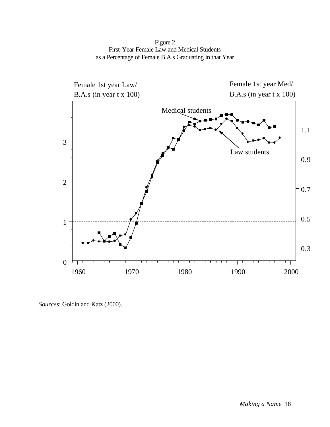Figure 2 First-Year Female Law and Medical Students as a Percentage of Female B.A.s Graduating in that Year



*Sources*: Goldin and Katz (2000).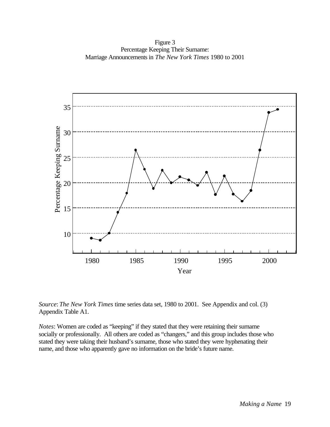Figure 3 Percentage Keeping Their Surname: Marriage Announcements in *The New York Times* 1980 to 2001





*Notes*: Women are coded as "keeping" if they stated that they were retaining their surname socially or professionally. All others are coded as "changers," and this group includes those who stated they were taking their husband's surname, those who stated they were hyphenating their name, and those who apparently gave no information on the bride's future name.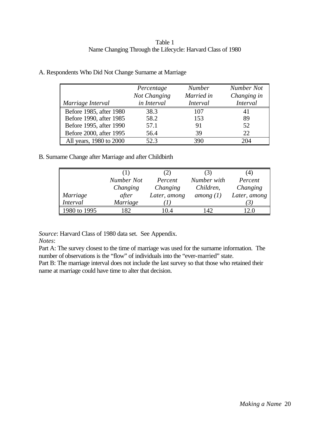# Table 1 Name Changing Through the Lifecycle: Harvard Class of 1980

| A. Respondents Who Did Not Change Surname at Marriage |  |  |
|-------------------------------------------------------|--|--|
|                                                       |  |  |
|                                                       |  |  |

|                         | Percentage<br>Not Changing | <b>Number</b><br>Married in | Number Not<br>Changing in |
|-------------------------|----------------------------|-----------------------------|---------------------------|
| Marriage Interval       | in Interval                | Interval                    | <b>Interval</b>           |
| Before 1985, after 1980 | 38.3                       | 107                         | 41                        |
| Before 1990, after 1985 | 58.2                       | 153                         | 89                        |
| Before 1995, after 1990 | 57.1                       | 91                          | 52                        |
| Before 2000, after 1995 | 56.4                       | 39                          | 22                        |
| All years, 1980 to 2000 | 52.3                       | 390                         | 204                       |

B. Surname Change after Marriage and after Childbirth

|                 |            | (2)          |             | (4)          |
|-----------------|------------|--------------|-------------|--------------|
|                 | Number Not | Percent      | Number with | Percent      |
|                 | Changing   | Changing     | Children,   | Changing     |
| <i>Marriage</i> | after      | Later, among | among $(1)$ | Later, among |
| <b>Interval</b> | Marriage   |              |             |              |
| 1980 to 1995    | 182        | 104          | 142         |              |

*Source*: Harvard Class of 1980 data set. See Appendix.

*Notes*:

Part A: The survey closest to the time of marriage was used for the surname information. The number of observations is the "flow" of individuals into the "ever-married" state.

Part B: The marriage interval does not include the last survey so that those who retained their name at marriage could have time to alter that decision.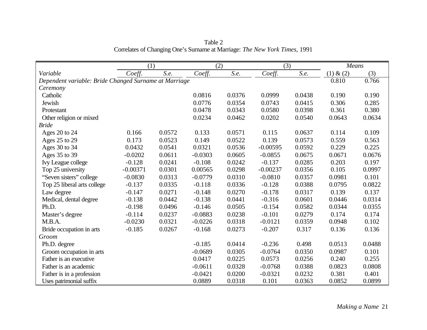Table 2 Correlates of Changing One's Surname at Marriage: *The New York Times*, 1991

|                                                       | (1)        |        | (2)       |        | (3)        |        | Means     |        |
|-------------------------------------------------------|------------|--------|-----------|--------|------------|--------|-----------|--------|
| Variable                                              | Coeff.     | S.e.   | Coeff.    | S.e.   | Coeff.     | S.e.   | (1) & (2) | (3)    |
| Dependent variable: Bride Changed Surname at Marriage |            |        |           |        | 0.810      | 0.766  |           |        |
| Ceremony                                              |            |        |           |        |            |        |           |        |
| Catholic                                              |            |        | 0.0816    | 0.0376 | 0.0999     | 0.0438 | 0.190     | 0.190  |
| Jewish                                                |            |        | 0.0776    | 0.0354 | 0.0743     | 0.0415 | 0.306     | 0.285  |
| Protestant                                            |            |        | 0.0478    | 0.0343 | 0.0580     | 0.0398 | 0.361     | 0.380  |
| Other religion or mixed                               |            |        | 0.0234    | 0.0462 | 0.0202     | 0.0540 | 0.0643    | 0.0634 |
| <b>Bride</b>                                          |            |        |           |        |            |        |           |        |
| Ages 20 to 24                                         | 0.166      | 0.0572 | 0.133     | 0.0571 | 0.115      | 0.0637 | 0.114     | 0.109  |
| Ages 25 to 29                                         | 0.173      | 0.0523 | 0.149     | 0.0522 | 0.139      | 0.0573 | 0.559     | 0.563  |
| Ages 30 to 34                                         | 0.0432     | 0.0541 | 0.0321    | 0.0536 | $-0.00595$ | 0.0592 | 0.229     | 0.225  |
| Ages 35 to 39                                         | $-0.0202$  | 0.0611 | $-0.0303$ | 0.0605 | $-0.0855$  | 0.0675 | 0.0671    | 0.0676 |
| Ivy League college                                    | $-0.128$   | 0.0241 | $-0.108$  | 0.0242 | $-0.137$   | 0.0285 | 0.203     | 0.197  |
| Top 25 university                                     | $-0.00371$ | 0.0301 | 0.00565   | 0.0298 | $-0.00237$ | 0.0356 | 0.105     | 0.0997 |
| "Seven sisters" college                               | $-0.0830$  | 0.0313 | $-0.0779$ | 0.0310 | $-0.0810$  | 0.0357 | 0.0981    | 0.101  |
| Top 25 liberal arts college                           | $-0.137$   | 0.0335 | $-0.118$  | 0.0336 | $-0.128$   | 0.0388 | 0.0795    | 0.0822 |
| Law degree                                            | $-0.147$   | 0.0271 | $-0.148$  | 0.0270 | $-0.178$   | 0.0317 | 0.139     | 0.137  |
| Medical, dental degree                                | $-0.138$   | 0.0442 | $-0.138$  | 0.0441 | $-0.316$   | 0.0601 | 0.0446    | 0.0314 |
| Ph.D.                                                 | $-0.198$   | 0.0496 | $-0.146$  | 0.0505 | $-0.154$   | 0.0582 | 0.0344    | 0.0355 |
| Master's degree                                       | $-0.114$   | 0.0237 | $-0.0883$ | 0.0238 | $-0.101$   | 0.0279 | 0.174     | 0.174  |
| M.B.A.                                                | $-0.0230$  | 0.0321 | $-0.0226$ | 0.0318 | $-0.0121$  | 0.0359 | 0.0948    | 0.102  |
| Bride occupation in arts                              | $-0.185$   | 0.0267 | $-0.168$  | 0.0273 | $-0.207$   | 0.317  | 0.136     | 0.136  |
| Groom                                                 |            |        |           |        |            |        |           |        |
| Ph.D. degree                                          |            |        | $-0.185$  | 0.0414 | $-0.236$   | 0.498  | 0.0513    | 0.0488 |
| Groom occupation in arts                              |            |        | $-0.0689$ | 0.0305 | $-0.0764$  | 0.0350 | 0.0987    | 0.101  |
| Father is an executive                                |            |        | 0.0417    | 0.0225 | 0.0573     | 0.0256 | 0.240     | 0.255  |
| Father is an academic                                 |            |        | $-0.0611$ | 0.0328 | $-0.0768$  | 0.0388 | 0.0823    | 0.0808 |
| Father is in a profession                             |            |        | $-0.0421$ | 0.0200 | $-0.0321$  | 0.0232 | 0.381     | 0.401  |
| Uses patrimonial suffix                               |            |        | 0.0889    | 0.0318 | 0.101      | 0.0363 | 0.0852    | 0.0899 |

*Making a Name* 21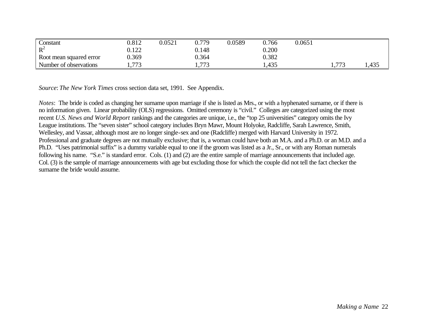| Constant                | 0.812                | 0.0521 | 0.779                    | 0.0589 | 0.766 | 0.0651 |     |       |
|-------------------------|----------------------|--------|--------------------------|--------|-------|--------|-----|-------|
| $R^2$                   | 122<br>J.I <i>LL</i> |        | 0.148                    |        | 0.200 |        |     |       |
| Root mean squared error | 0.369                |        | 0.364                    |        | 0.382 |        |     |       |
| Number of observations  | 772                  |        | $\mathbf{z}$<br>ر .<br>. |        | 1,435 |        | 770 | ل ر — |

*Source*: *The New York Times* cross section data set, 1991. See Appendix.

*Notes*: The bride is coded as changing her surname upon marriage if she is listed as Mrs., or with a hyphenated surname, or if there is no information given. Linear probability (OLS) regressions. Omitted ceremony is "civil." Colleges are categorized using the most recent *U.S. News and World Report* rankings and the categories are unique, i.e., the "top 25 universities" category omits the Ivy League institutions. The "seven sister" school category includes Bryn Mawr, Mount Holyoke, Radcliffe, Sarah Lawrence, Smith, Wellesley, and Vassar, although most are no longer single-sex and one (Radcliffe) merged with Harvard University in 1972. Professional and graduate degrees are not mutually exclusive; that is, a woman could have both an M.A. and a Ph.D. or an M.D. and a Ph.D. "Uses patrimonial suffix" is a dummy variable equal to one if the groom was listed as a Jr., Sr., or with any Roman numerals following his name. "S.e." is standard error. Cols. (1) and (2) are the entire sample of marriage announcements that included age. Col. (3) is the sample of marriage announcements with age but excluding those for which the couple did not tell the fact checker the surname the bride would assume.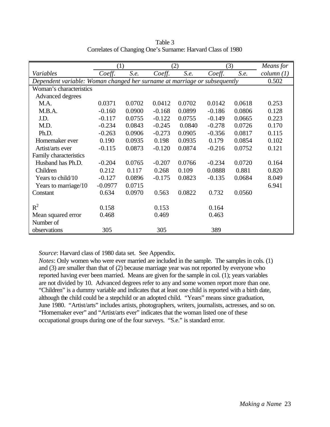|                                                                           | (1)       |        |          | (2)    | (3)      |        | Means for  |  |  |
|---------------------------------------------------------------------------|-----------|--------|----------|--------|----------|--------|------------|--|--|
| Variables                                                                 | Coeff.    | S.e.   | Coeff.   | S.e.   | Coeff.   | S.e.   | column (1) |  |  |
| Dependent variable: Woman changed her surname at marriage or subsequently |           |        |          |        |          |        |            |  |  |
| Woman's characteristics                                                   |           |        |          |        |          |        |            |  |  |
| Advanced degrees                                                          |           |        |          |        |          |        |            |  |  |
| M.A.                                                                      | 0.0371    | 0.0702 | 0.0412   | 0.0702 | 0.0142   | 0.0618 | 0.253      |  |  |
| M.B.A.                                                                    | $-0.160$  | 0.0900 | $-0.168$ | 0.0899 | $-0.186$ | 0.0806 | 0.128      |  |  |
| J.D.                                                                      | $-0.117$  | 0.0755 | $-0.122$ | 0.0755 | $-0.149$ | 0.0665 | 0.223      |  |  |
| M.D.                                                                      | $-0.234$  | 0.0843 | $-0.245$ | 0.0840 | $-0.278$ | 0.0726 | 0.170      |  |  |
| Ph.D.                                                                     | $-0.263$  | 0.0906 | $-0.273$ | 0.0905 | $-0.356$ | 0.0817 | 0.115      |  |  |
| Homemaker ever                                                            | 0.190     | 0.0935 | 0.198    | 0.0935 | 0.179    | 0.0854 | 0.102      |  |  |
| Artist/arts ever                                                          | $-0.115$  | 0.0873 | $-0.120$ | 0.0874 | $-0.216$ | 0.0752 | 0.121      |  |  |
| Family characteristics                                                    |           |        |          |        |          |        |            |  |  |
| Husband has Ph.D.                                                         | $-0.204$  | 0.0765 | $-0.207$ | 0.0766 | $-0.234$ | 0.0720 | 0.164      |  |  |
| Children                                                                  | 0.212     | 0.117  | 0.268    | 0.109  | 0.0888   | 0.881  | 0.820      |  |  |
| Years to child/10                                                         | $-0.127$  | 0.0896 | $-0.175$ | 0.0823 | $-0.135$ | 0.0684 | 8.049      |  |  |
| Years to marriage/10                                                      | $-0.0977$ | 0.0715 |          |        |          |        | 6.941      |  |  |
| Constant                                                                  | 0.634     | 0.0970 | 0.563    | 0.0822 | 0.732    | 0.0560 |            |  |  |
|                                                                           |           |        |          |        |          |        |            |  |  |
| $R^2$                                                                     | 0.158     |        | 0.153    |        | 0.164    |        |            |  |  |
| Mean squared error                                                        | 0.468     |        | 0.469    |        | 0.463    |        |            |  |  |
| Number of                                                                 |           |        |          |        |          |        |            |  |  |
| observations                                                              | 305       |        | 305      |        | 389      |        |            |  |  |

Table 3 Correlates of Changing One's Surname: Harvard Class of 1980

*Source*: Harvard class of 1980 data set. See Appendix.

*Notes*: Only women who were ever married are included in the sample. The samples in cols. (1) and (3) are smaller than that of (2) because marriage year was not reported by everyone who reported having ever been married. Means are given for the sample in col. (1); years variables are not divided by 10. Advanced degrees refer to any and some women report more than one. "Children" is a dummy variable and indicates that at least one child is reported with a birth date, although the child could be a stepchild or an adopted child. "Years" means since graduation, June 1980. "Artist/arts" includes artists, photographers, writers, journalists, actresses, and so on. "Homemaker ever" and "Artist/arts ever" indicates that the woman listed one of these occupational groups during one of the four surveys. "S.e." is standard error.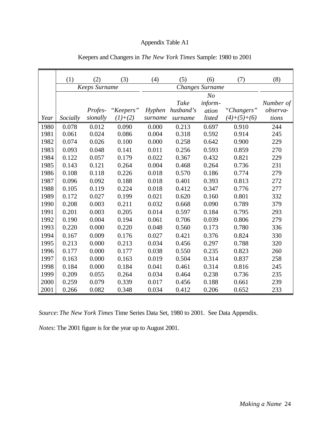# Appendix Table A1

|      | (1)      | (2)                  | (3)       | (4)     | (5)                    | (6)     | (7)           | (8)       |  |  |
|------|----------|----------------------|-----------|---------|------------------------|---------|---------------|-----------|--|--|
|      |          | <b>Keeps Surname</b> |           |         | <b>Changes Surname</b> |         |               |           |  |  |
|      |          |                      |           |         | N <sub>O</sub>         |         |               |           |  |  |
|      |          |                      |           |         | Take                   | inform- |               | Number of |  |  |
|      |          | Profes-              | "Keepers" | Hyphen  | husband's              | ation   | "Changers"    | observa-  |  |  |
| Year | Socially | sionally             | $(1)+(2)$ | surname | surname                | listed  | $(4)+(5)+(6)$ | tions     |  |  |
| 1980 | 0.078    | 0.012                | 0.090     | 0.000   | 0.213                  | 0.697   | 0.910         | 244       |  |  |
| 1981 | 0.061    | 0.024                | 0.086     | 0.004   | 0.318                  | 0.592   | 0.914         | 245       |  |  |
| 1982 | 0.074    | 0.026                | 0.100     | 0.000   | 0.258                  | 0.642   | 0.900         | 229       |  |  |
| 1983 | 0.093    | 0.048                | 0.141     | 0.011   | 0.256                  | 0.593   | 0.859         | 270       |  |  |
| 1984 | 0.122    | 0.057                | 0.179     | 0.022   | 0.367                  | 0.432   | 0.821         | 229       |  |  |
| 1985 | 0.143    | 0.121                | 0.264     | 0.004   | 0.468                  | 0.264   | 0.736         | 231       |  |  |
| 1986 | 0.108    | 0.118                | 0.226     | 0.018   | 0.570                  | 0.186   | 0.774         | 279       |  |  |
| 1987 | 0.096    | 0.092                | 0.188     | 0.018   | 0.401                  | 0.393   | 0.813         | 272       |  |  |
| 1988 | 0.105    | 0.119                | 0.224     | 0.018   | 0.412                  | 0.347   | 0.776         | 277       |  |  |
| 1989 | 0.172    | 0.027                | 0.199     | 0.021   | 0.620                  | 0.160   | 0.801         | 332       |  |  |
| 1990 | 0.208    | 0.003                | 0.211     | 0.032   | 0.668                  | 0.090   | 0.789         | 379       |  |  |
| 1991 | 0.201    | 0.003                | 0.205     | 0.014   | 0.597                  | 0.184   | 0.795         | 293       |  |  |
| 1992 | 0.190    | 0.004                | 0.194     | 0.061   | 0.706                  | 0.039   | 0.806         | 279       |  |  |
| 1993 | 0.220    | 0.000                | 0.220     | 0.048   | 0.560                  | 0.173   | 0.780         | 336       |  |  |
| 1994 | 0.167    | 0.009                | 0.176     | 0.027   | 0.421                  | 0.376   | 0.824         | 330       |  |  |
| 1995 | 0.213    | 0.000                | 0.213     | 0.034   | 0.456                  | 0.297   | 0.788         | 320       |  |  |
| 1996 | 0.177    | 0.000                | 0.177     | 0.038   | 0.550                  | 0.235   | 0.823         | 260       |  |  |
| 1997 | 0.163    | 0.000                | 0.163     | 0.019   | 0.504                  | 0.314   | 0.837         | 258       |  |  |
| 1998 | 0.184    | 0.000                | 0.184     | 0.041   | 0.461                  | 0.314   | 0.816         | 245       |  |  |
| 1999 | 0.209    | 0.055                | 0.264     | 0.034   | 0.464                  | 0.238   | 0.736         | 235       |  |  |
| 2000 | 0.259    | 0.079                | 0.339     | 0.017   | 0.456                  | 0.188   | 0.661         | 239       |  |  |
| 2001 | 0.266    | 0.082                | 0.348     | 0.034   | 0.412                  | 0.206   | 0.652         | 233       |  |  |

# Keepers and Changers in *The New York Times* Sample: 1980 to 2001

*Source*: *The New York Times* Time Series Data Set, 1980 to 2001. See Data Appendix.

*Notes*: The 2001 figure is for the year up to August 2001.